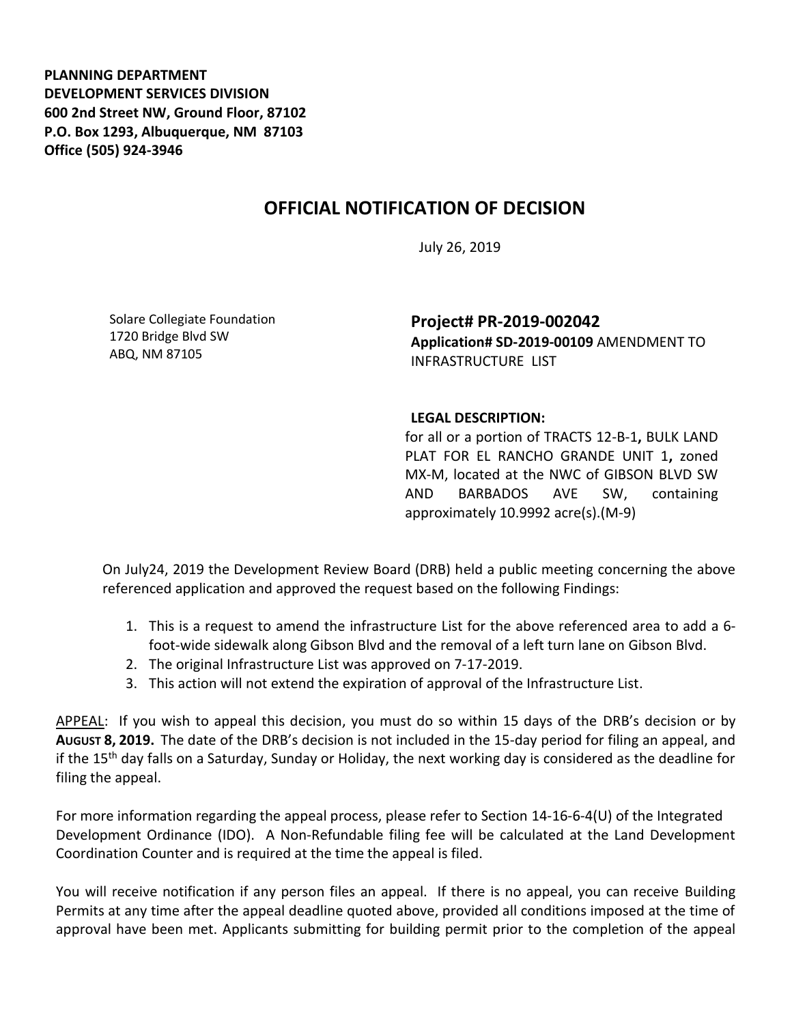**PLANNING DEPARTMENT DEVELOPMENT SERVICES DIVISION 600 2nd Street NW, Ground Floor, 87102 P.O. Box 1293, Albuquerque, NM 87103 Office (505) 924-3946** 

## **OFFICIAL NOTIFICATION OF DECISION**

July 26, 2019

Solare Collegiate Foundation 1720 Bridge Blvd SW ABQ, NM 87105

**Project# PR-2019-002042 Application# SD-2019-00109** AMENDMENT TO INFRASTRUCTURE LIST

## **LEGAL DESCRIPTION:**

for all or a portion of TRACTS 12-B-1**,** BULK LAND PLAT FOR EL RANCHO GRANDE UNIT 1**,** zoned MX-M, located at the NWC of GIBSON BLVD SW AND BARBADOS AVE SW, containing approximately 10.9992 acre(s).(M-9)

On July24, 2019 the Development Review Board (DRB) held a public meeting concerning the above referenced application and approved the request based on the following Findings:

- 1. This is a request to amend the infrastructure List for the above referenced area to add a 6 foot-wide sidewalk along Gibson Blvd and the removal of a left turn lane on Gibson Blvd.
- 2. The original Infrastructure List was approved on 7-17-2019.
- 3. This action will not extend the expiration of approval of the Infrastructure List.

APPEAL: If you wish to appeal this decision, you must do so within 15 days of the DRB's decision or by **AUGUST 8, 2019.** The date of the DRB's decision is not included in the 15-day period for filing an appeal, and if the 15<sup>th</sup> day falls on a Saturday, Sunday or Holiday, the next working day is considered as the deadline for filing the appeal.

For more information regarding the appeal process, please refer to Section 14-16-6-4(U) of the Integrated Development Ordinance (IDO). A Non-Refundable filing fee will be calculated at the Land Development Coordination Counter and is required at the time the appeal is filed.

You will receive notification if any person files an appeal. If there is no appeal, you can receive Building Permits at any time after the appeal deadline quoted above, provided all conditions imposed at the time of approval have been met. Applicants submitting for building permit prior to the completion of the appeal